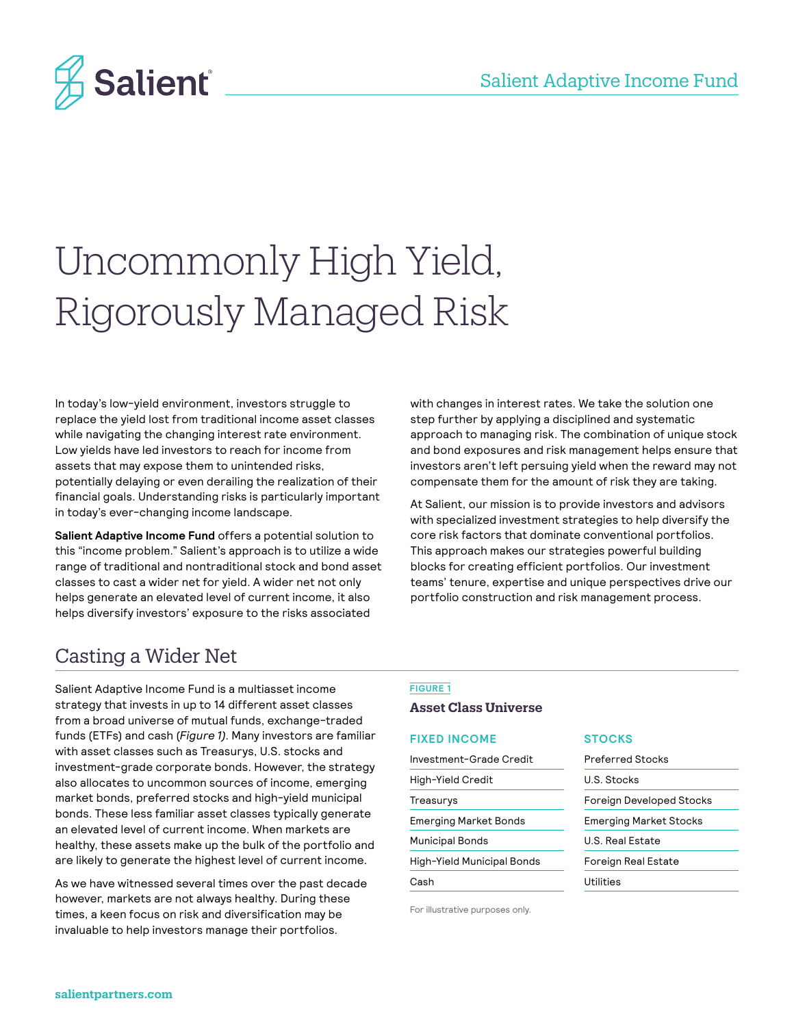

# Uncommonly High Yield, Rigorously Managed Risk

In today's low-yield environment, investors struggle to replace the yield lost from traditional income asset classes while navigating the changing interest rate environment. Low yields have led investors to reach for income from assets that may expose them to unintended risks, potentially delaying or even derailing the realization of their financial goals. Understanding risks is particularly important in today's ever-changing income landscape.

**Salient Adaptive Income Fund** offers a potential solution to this "income problem." Salient's approach is to utilize a wide range of traditional and nontraditional stock and bond asset classes to cast a wider net for yield. A wider net not only helps generate an elevated level of current income, it also helps diversify investors' exposure to the risks associated

with changes in interest rates. We take the solution one step further by applying a disciplined and systematic approach to managing risk. The combination of unique stock and bond exposures and risk management helps ensure that investors aren't left persuing yield when the reward may not compensate them for the amount of risk they are taking.

At Salient, our mission is to provide investors and advisors with specialized investment strategies to help diversify the core risk factors that dominate conventional portfolios. This approach makes our strategies powerful building blocks for creating efficient portfolios. Our investment teams' tenure, expertise and unique perspectives drive our portfolio construction and risk management process.

# Casting a Wider Net

Salient Adaptive Income Fund is a multiasset income strategy that invests in up to 14 different asset classes from a broad universe of mutual funds, exchange-traded funds (ETFs) and cash (*Figure 1)*. Many investors are familiar with asset classes such as Treasurys, U.S. stocks and investment-grade corporate bonds. However, the strategy also allocates to uncommon sources of income, emerging market bonds, preferred stocks and high-yield municipal bonds. These less familiar asset classes typically generate an elevated level of current income. When markets are healthy, these assets make up the bulk of the portfolio and are likely to generate the highest level of current income.

As we have witnessed several times over the past decade however, markets are not always healthy. During these times, a keen focus on risk and diversification may be invaluable to help investors manage their portfolios.

### **FIGURE 1**

#### **Asset Class Universe**

### **FIXED INCOME**

| Investment-Grade Credit    |
|----------------------------|
| High-Yield Credit          |
| Treasurys                  |
| Emerging Market Bonds      |
| <b>Municipal Bonds</b>     |
| High-Yield Municipal Bonds |
| Cash                       |

For illustrative purposes only.

#### **STOCKS**

| <b>Preferred Stocks</b>       |
|-------------------------------|
| U.S. Stocks                   |
| Foreign Developed Stocks      |
| <b>Emerging Market Stocks</b> |
| U.S. Real Estate              |
| Foreign Real Estate           |
| Utilities                     |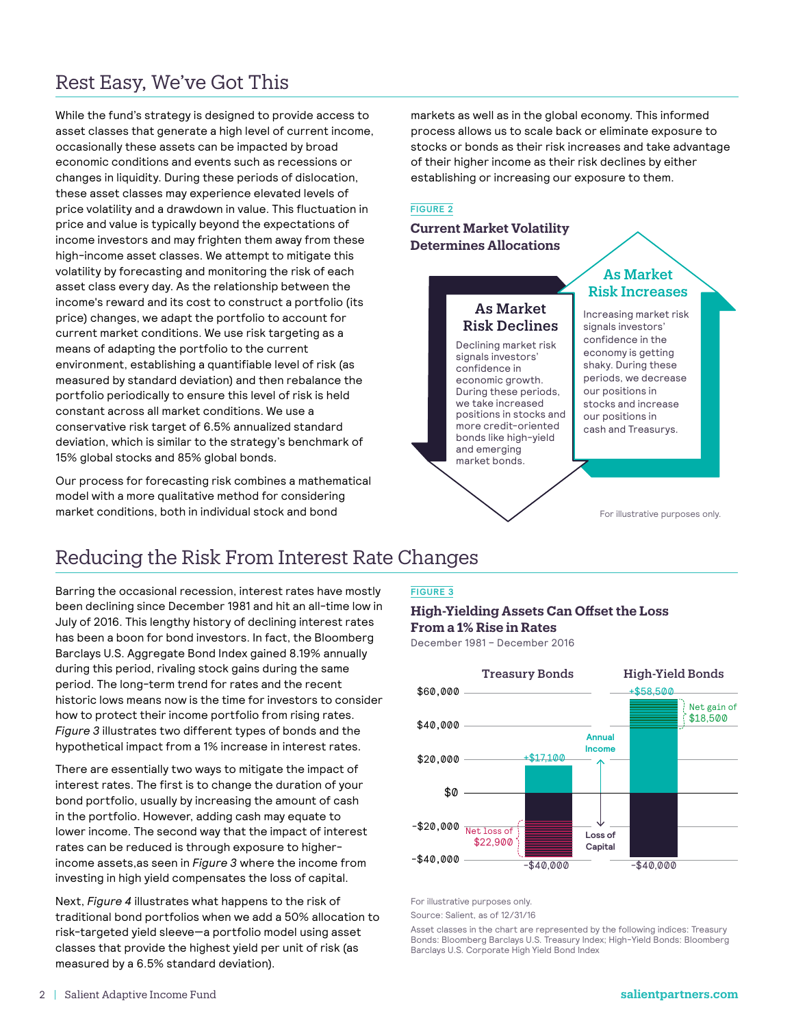# Rest Easy, We've Got This

While the fund's strategy is designed to provide access to asset classes that generate a high level of current income, occasionally these assets can be impacted by broad economic conditions and events such as recessions or changes in liquidity. During these periods of dislocation, these asset classes may experience elevated levels of price volatility and a drawdown in value. This fluctuation in price and value is typically beyond the expectations of income investors and may frighten them away from these high-income asset classes. We attempt to mitigate this volatility by forecasting and monitoring the risk of each asset class every day. As the relationship between the income's reward and its cost to construct a portfolio (its price) changes, we adapt the portfolio to account for current market conditions. We use risk targeting as a means of adapting the portfolio to the current environment, establishing a quantifiable level of risk (as measured by standard deviation) and then rebalance the portfolio periodically to ensure this level of risk is held constant across all market conditions. We use a conservative risk target of 6.5% annualized standard deviation, which is similar to the strategy's benchmark of 15% global stocks and 85% global bonds.

Our process for forecasting risk combines a mathematical model with a more qualitative method for considering market conditions, both in individual stock and bond

markets as well as in the global economy. This informed process allows us to scale back or eliminate exposure to stocks or bonds as their risk increases and take advantage of their higher income as their risk declines by either establishing or increasing our exposure to them.

#### **FIGURE 2**

### **Current Market Volatility Determines Allocations**

#### As Market Risk Declines As Market Risk Increases Increasing market risk signals investors' confidence in the economy is getting shaky. During these periods, we decrease our positions in stocks and increase our positions in cash and Treasurys. Declining market risk signals investors' confidence in economic growth. During these periods, we take increased positions in stocks and more credit-oriented bonds like high-yield and emerging market bonds.

For illustrative purposes only.

# Reducing the Risk From Interest Rate Changes

Barring the occasional recession, interest rates have mostly been declining since December 1981 and hit an all-time low in July of 2016. This lengthy history of declining interest rates has been a boon for bond investors. In fact, the Bloomberg Barclays U.S. Aggregate Bond Index gained 8.19% annually during this period, rivaling stock gains during the same period. The long-term trend for rates and the recent historic lows means now is the time for investors to consider how to protect their income portfolio from rising rates. *Figure 3* illustrates two different types of bonds and the hypothetical impact from a 1% increase in interest rates.

There are essentially two ways to mitigate the impact of interest rates. The first is to change the duration of your bond portfolio, usually by increasing the amount of cash in the portfolio. However, adding cash may equate to lower income. The second way that the impact of interest rates can be reduced is through exposure to higherincome assets,as seen in *Figure 3* where the income from investing in high yield compensates the loss of capital.

Next, *Figure 4* illustrates what happens to the risk of traditional bond portfolios when we add a 50% allocation to risk-targeted yield sleeve—a portfolio model using asset classes that provide the highest yield per unit of risk (as measured by a 6.5% standard deviation).

### **FIGURE 3**

### **High-Yielding Assets Can Offset the Loss From a 1% Rise in Rates**

December 1981 – December 2016



For illustrative purposes only.

Source: Salient, as of 12/31/16

Asset classes in the chart are represented by the following indices: Treasury Bonds: Bloomberg Barclays U.S. Treasury Index; High-Yield Bonds: Bloomberg Barclays U.S. Corporate High Yield Bond Index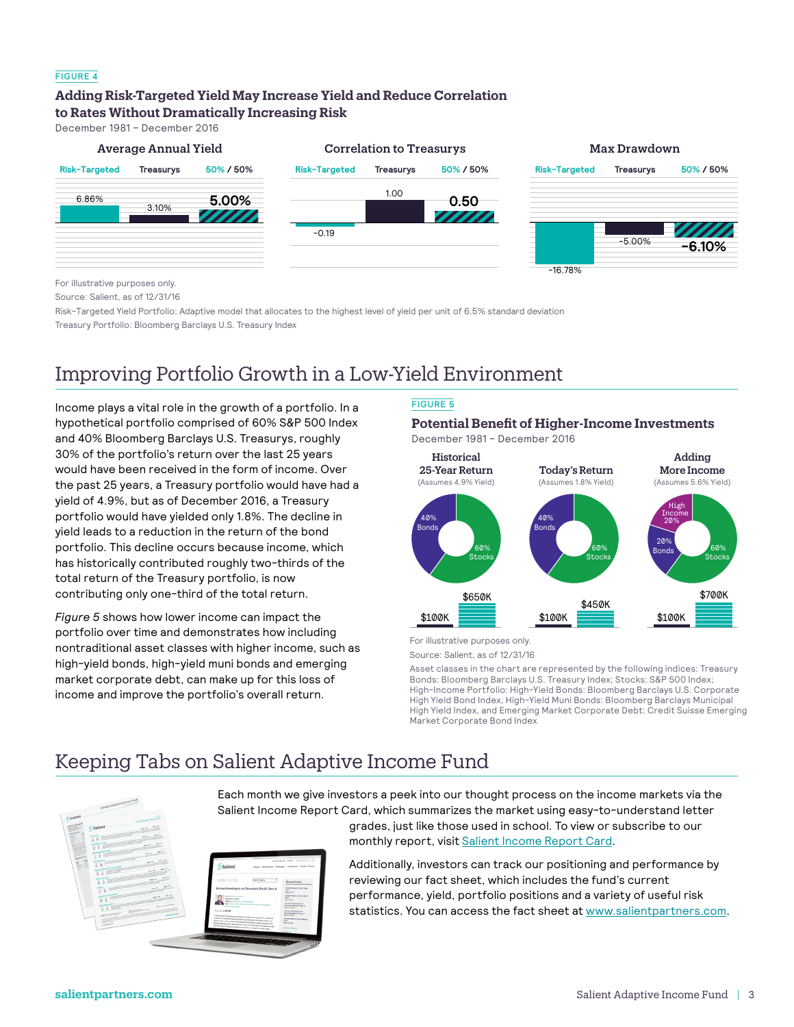### **FIGURE 4**

### **Adding Risk-Targeted Yield May Increase Yield and Reduce Correlation to Rates Without Dramatically Increasing Risk**

December 1981 – December 2016



For illustrative purposes only.

Source: Salient, as of 12/31/16

Risk-Targeted Yield Portfolio: Adaptive model that allocates to the highest level of yield per unit of 6.5% standard deviation Treasury Portfolio: Bloomberg Barclays U.S. Treasury Index

# Improving Portfolio Growth in a Low-Yield Environment

Income plays a vital role in the growth of a portfolio. In a hypothetical portfolio comprised of 60% S&P 500 Index and 40% Bloomberg Barclays U.S. Treasurys, roughly 30% of the portfolio's return over the last 25 years would have been received in the form of income. Over the past 25 years, a Treasury portfolio would have had a yield of 4.9%, but as of December 2016, a Treasury portfolio would have yielded only 1.8%. The decline in yield leads to a reduction in the return of the bond portfolio. This decline occurs because income, which has historically contributed roughly two-thirds of the total return of the Treasury portfolio, is now contributing only one-third of the total return.

*Figure 5* shows how lower income can impact the portfolio over time and demonstrates how including nontraditional asset classes with higher income, such as high-yield bonds, high-yield muni bonds and emerging market corporate debt, can make up for this loss of income and improve the portfolio's overall return.

### **FIGURE 5**

### **Potential Benefit of Higher-Income Investments**



For illustrative purposes only.

Source: Salient, as of 12/31/16

Asset classes in the chart are represented by the following indices: Treasury Bonds: Bloomberg Barclays U.S. Treasury Index; Stocks: S&P 500 Index; High-Income Portfolio: High-Yield Bonds: Bloomberg Barclays U.S. Corporate High Yield Bond Index, High-Yield Muni Bonds: Bloomberg Barclays Municipal High Yield Index, and Emerging Market Corporate Debt: Credit Suisse Emerging Market Corporate Bond Index

# Keeping Tabs on Salient Adaptive Income Fund



Each month we give investors a peek into our thought process on the income markets via the Salient Income Report Card, which summarizes the market using easy-to-understand letter grades, just like those used in school. To view or subscribe to our



monthly report, visit [Salient Income Report Card](http://www.salientpartners.com/blog/tag/income-report-card/).

Additionally, investors can track our positioning and performance by reviewing our fact sheet, which includes the fund's current performance, yield, portfolio positions and a variety of useful risk statistics. You can access the fact sheet at [www.salientpartners.com](http://www.salientpartners.com).